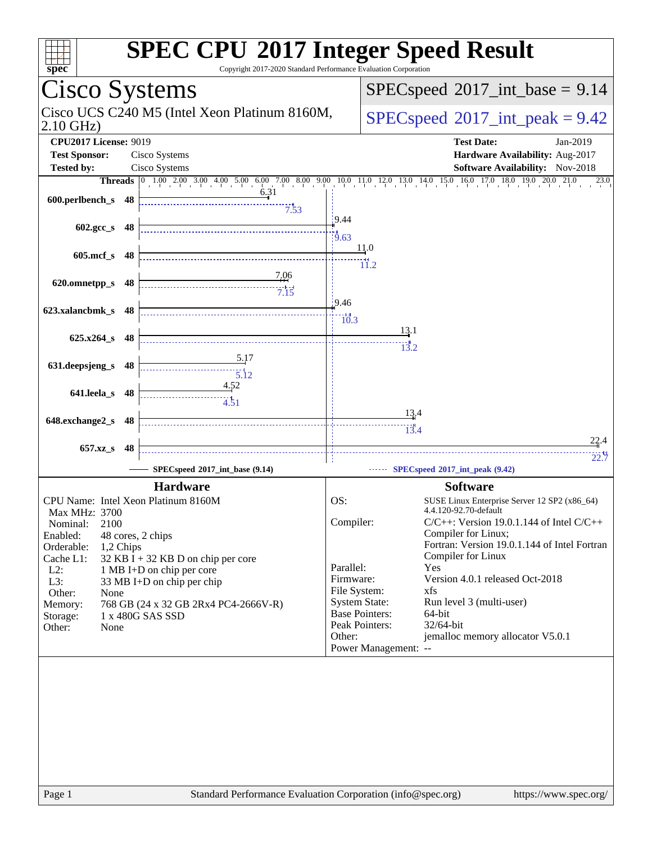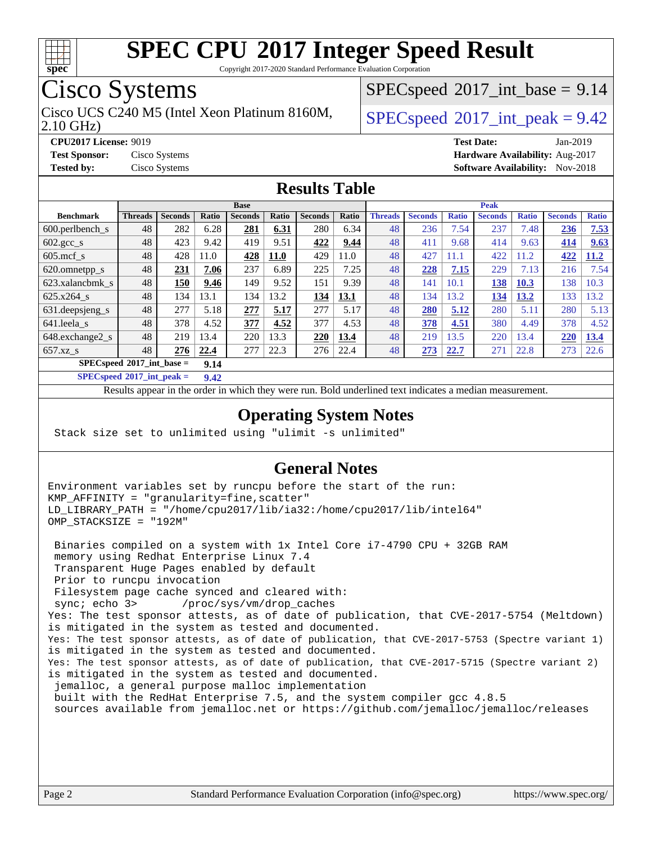

Copyright 2017-2020 Standard Performance Evaluation Corporation

### Cisco Systems

2.10 GHz) Cisco UCS C240 M5 (Intel Xeon Platinum 8160M,  $\big|$  [SPECspeed](http://www.spec.org/auto/cpu2017/Docs/result-fields.html#SPECspeed2017intpeak)®[2017\\_int\\_peak = 9](http://www.spec.org/auto/cpu2017/Docs/result-fields.html#SPECspeed2017intpeak).42

 $SPECspeed^{\circ}2017\_int\_base = 9.14$  $SPECspeed^{\circ}2017\_int\_base = 9.14$ 

**[CPU2017 License:](http://www.spec.org/auto/cpu2017/Docs/result-fields.html#CPU2017License)** 9019 **[Test Date:](http://www.spec.org/auto/cpu2017/Docs/result-fields.html#TestDate)** Jan-2019 **[Test Sponsor:](http://www.spec.org/auto/cpu2017/Docs/result-fields.html#TestSponsor)** Cisco Systems **[Hardware Availability:](http://www.spec.org/auto/cpu2017/Docs/result-fields.html#HardwareAvailability)** Aug-2017 **[Tested by:](http://www.spec.org/auto/cpu2017/Docs/result-fields.html#Testedby)** Cisco Systems **[Software Availability:](http://www.spec.org/auto/cpu2017/Docs/result-fields.html#SoftwareAvailability)** Nov-2018

#### **[Results Table](http://www.spec.org/auto/cpu2017/Docs/result-fields.html#ResultsTable)**

|                                     | <b>Base</b>    |                |       |                | <b>Peak</b> |                |       |                |                |              |                |              |                |              |
|-------------------------------------|----------------|----------------|-------|----------------|-------------|----------------|-------|----------------|----------------|--------------|----------------|--------------|----------------|--------------|
| <b>Benchmark</b>                    | <b>Threads</b> | <b>Seconds</b> | Ratio | <b>Seconds</b> | Ratio       | <b>Seconds</b> | Ratio | <b>Threads</b> | <b>Seconds</b> | <b>Ratio</b> | <b>Seconds</b> | <b>Ratio</b> | <b>Seconds</b> | <b>Ratio</b> |
| 600.perlbench s                     | 48             | 282            | 6.28  | 281            | 6.31        | 280            | 6.34  | 48             | 236            | 7.54         | 237            | 7.48         | 236            | 7.53         |
| $602.\text{gcc}\_\text{s}$          | 48             | 423            | 9.42  | 419            | 9.51        | 422            | 9.44  | 48             | 411            | 9.68         | 414            | 9.63         | 414            | 9.63         |
| $605$ .mcf s                        | 48             | 428            | 11.0  | 428            | <b>11.0</b> | 429            | 11.0  | 48             | 427            | 11.1         | 422            | 11.2         | 422            | 11.2         |
| 620.omnetpp_s                       | 48             | 231            | 7.06  | 237            | 6.89        | 225            | 7.25  | 48             | 228            | 7.15         | 229            | 7.13         | 216            | 7.54         |
| 623.xalancbmk s                     | 48             | 150            | 9.46  | 149            | 9.52        | 151            | 9.39  | 48             | 141            | 10.1         | 138            | <b>10.3</b>  | 138            | 10.3         |
| 625.x264 s                          | 48             | 134            | 13.1  | 134            | 13.2        | 134            | 13.1  | 48             | 134            | 13.2         | 134            | 13.2         | 133            | 13.2         |
| 631.deepsjeng_s                     | 48             | 277            | 5.18  | 277            | 5.17        | 277            | 5.17  | 48             | 280            | 5.12         | 280            | 5.11         | 280            | 5.13         |
| 641.leela s                         | 48             | 378            | 4.52  | 377            | 4.52        | 377            | 4.53  | 48             | 378            | 4.51         | 380            | 4.49         | 378            | 4.52         |
| 648.exchange2_s                     | 48             | 219            | 13.4  | 220            | 13.3        | 220            | 13.4  | 48             | 219            | 13.5         | 220            | 13.4         | 220            | 13.4         |
| $657.xz$ s                          | 48             | 276            | 22.4  | 277            | 22.3        | 276            | 22.4  | 48             | 273            | 22.7         | 271            | 22.8         | 273            | 22.6         |
| $SPECspeed*2017$ int base =<br>9.14 |                |                |       |                |             |                |       |                |                |              |                |              |                |              |

**[SPECspeed](http://www.spec.org/auto/cpu2017/Docs/result-fields.html#SPECspeed2017intpeak)[2017\\_int\\_peak =](http://www.spec.org/auto/cpu2017/Docs/result-fields.html#SPECspeed2017intpeak) 9.42**

Results appear in the [order in which they were run.](http://www.spec.org/auto/cpu2017/Docs/result-fields.html#RunOrder) Bold underlined text [indicates a median measurement](http://www.spec.org/auto/cpu2017/Docs/result-fields.html#Median).

#### **[Operating System Notes](http://www.spec.org/auto/cpu2017/Docs/result-fields.html#OperatingSystemNotes)**

Stack size set to unlimited using "ulimit -s unlimited"

#### **[General Notes](http://www.spec.org/auto/cpu2017/Docs/result-fields.html#GeneralNotes)**

Environment variables set by runcpu before the start of the run: KMP\_AFFINITY = "granularity=fine,scatter" LD\_LIBRARY\_PATH = "/home/cpu2017/lib/ia32:/home/cpu2017/lib/intel64" OMP\_STACKSIZE = "192M"

 Binaries compiled on a system with 1x Intel Core i7-4790 CPU + 32GB RAM memory using Redhat Enterprise Linux 7.4 Transparent Huge Pages enabled by default Prior to runcpu invocation Filesystem page cache synced and cleared with: sync; echo 3> /proc/sys/vm/drop\_caches Yes: The test sponsor attests, as of date of publication, that CVE-2017-5754 (Meltdown) is mitigated in the system as tested and documented. Yes: The test sponsor attests, as of date of publication, that CVE-2017-5753 (Spectre variant 1) is mitigated in the system as tested and documented. Yes: The test sponsor attests, as of date of publication, that CVE-2017-5715 (Spectre variant 2) is mitigated in the system as tested and documented. jemalloc, a general purpose malloc implementation built with the RedHat Enterprise 7.5, and the system compiler gcc 4.8.5 sources available from jemalloc.net or<https://github.com/jemalloc/jemalloc/releases>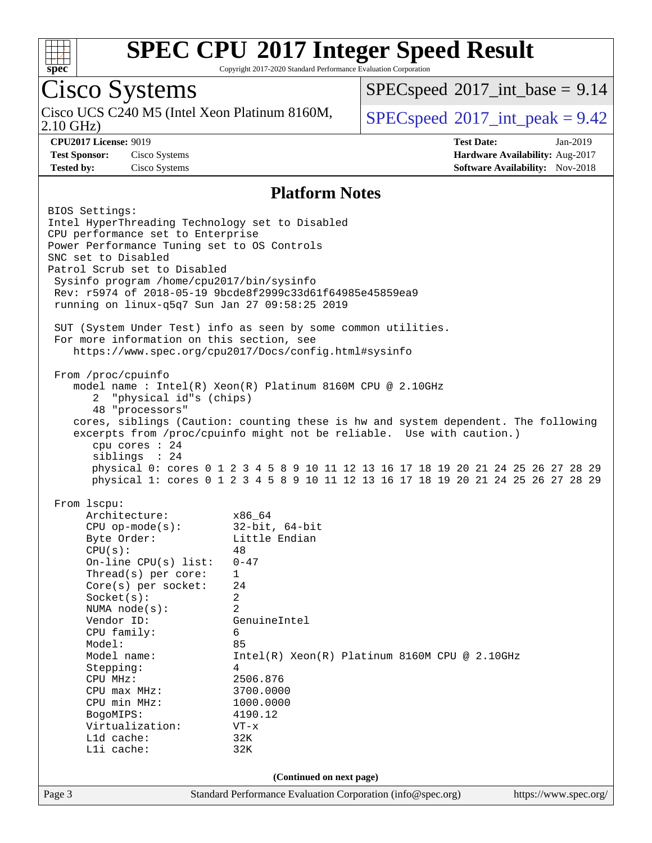

Copyright 2017-2020 Standard Performance Evaluation Corporation

### Cisco Systems

2.10 GHz) Cisco UCS C240 M5 (Intel Xeon Platinum 8160M,  $SPECspeed@2017$  $SPECspeed@2017$  int peak = 9.42

 $SPECspeed^{\circ}2017\_int\_base = 9.14$  $SPECspeed^{\circ}2017\_int\_base = 9.14$ 

**[CPU2017 License:](http://www.spec.org/auto/cpu2017/Docs/result-fields.html#CPU2017License)** 9019 **[Test Date:](http://www.spec.org/auto/cpu2017/Docs/result-fields.html#TestDate)** Jan-2019 **[Test Sponsor:](http://www.spec.org/auto/cpu2017/Docs/result-fields.html#TestSponsor)** Cisco Systems **[Hardware Availability:](http://www.spec.org/auto/cpu2017/Docs/result-fields.html#HardwareAvailability)** Aug-2017 **[Tested by:](http://www.spec.org/auto/cpu2017/Docs/result-fields.html#Testedby)** Cisco Systems **[Software Availability:](http://www.spec.org/auto/cpu2017/Docs/result-fields.html#SoftwareAvailability)** Nov-2018

#### **[Platform Notes](http://www.spec.org/auto/cpu2017/Docs/result-fields.html#PlatformNotes)**

Page 3 Standard Performance Evaluation Corporation [\(info@spec.org\)](mailto:info@spec.org) <https://www.spec.org/> BIOS Settings: Intel HyperThreading Technology set to Disabled CPU performance set to Enterprise Power Performance Tuning set to OS Controls SNC set to Disabled Patrol Scrub set to Disabled Sysinfo program /home/cpu2017/bin/sysinfo Rev: r5974 of 2018-05-19 9bcde8f2999c33d61f64985e45859ea9 running on linux-q5q7 Sun Jan 27 09:58:25 2019 SUT (System Under Test) info as seen by some common utilities. For more information on this section, see <https://www.spec.org/cpu2017/Docs/config.html#sysinfo> From /proc/cpuinfo model name : Intel(R) Xeon(R) Platinum 8160M CPU @ 2.10GHz 2 "physical id"s (chips) 48 "processors" cores, siblings (Caution: counting these is hw and system dependent. The following excerpts from /proc/cpuinfo might not be reliable. Use with caution.) cpu cores : 24 siblings : 24 physical 0: cores 0 1 2 3 4 5 8 9 10 11 12 13 16 17 18 19 20 21 24 25 26 27 28 29 physical 1: cores 0 1 2 3 4 5 8 9 10 11 12 13 16 17 18 19 20 21 24 25 26 27 28 29 From lscpu: Architecture: x86\_64 CPU op-mode(s): 32-bit, 64-bit Byte Order: Little Endian  $CPU(s):$  48 On-line CPU(s) list: 0-47 Thread(s) per core: 1 Core(s) per socket: 24 Socket(s): 2 NUMA node(s): 2 Vendor ID: GenuineIntel CPU family: 6 Model: 85 Model name: Intel(R) Xeon(R) Platinum 8160M CPU @ 2.10GHz Stepping: 4 CPU MHz: 2506.876 CPU max MHz: 3700.0000 CPU min MHz: 1000.0000 BogoMIPS: 4190.12 Virtualization: VT-x L1d cache: 32K L1i cache: 32K **(Continued on next page)**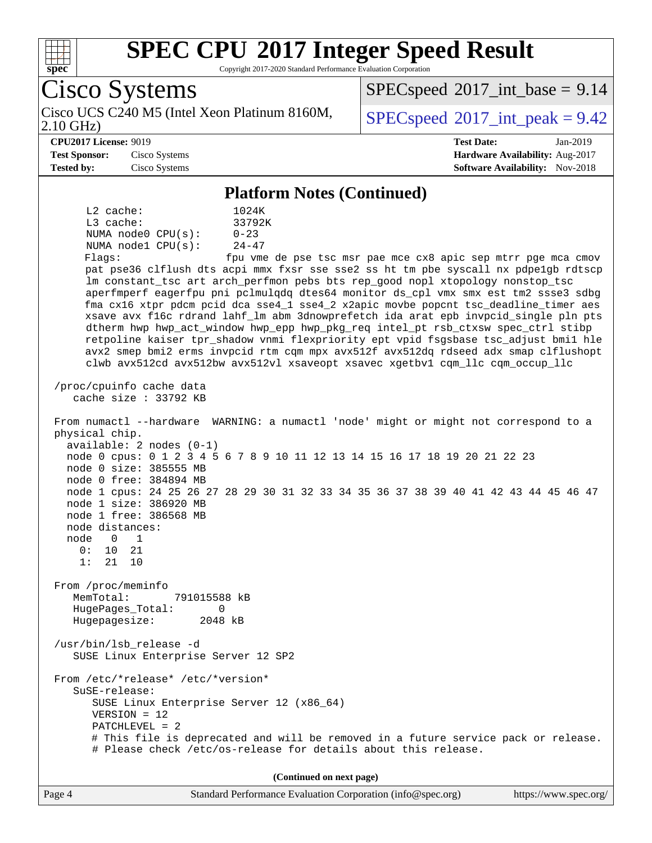

Copyright 2017-2020 Standard Performance Evaluation Corporation

Cisco Systems 2.10 GHz) Cisco UCS C240 M5 (Intel Xeon Platinum 8160M,  $SPECspeed@2017$  $SPECspeed@2017$  int peak = 9.42  $SPECspeed^{\circ}2017\_int\_base = 9.14$  $SPECspeed^{\circ}2017\_int\_base = 9.14$ **[CPU2017 License:](http://www.spec.org/auto/cpu2017/Docs/result-fields.html#CPU2017License)** 9019 **[Test Date:](http://www.spec.org/auto/cpu2017/Docs/result-fields.html#TestDate)** Jan-2019 **[Test Sponsor:](http://www.spec.org/auto/cpu2017/Docs/result-fields.html#TestSponsor)** Cisco Systems **[Hardware Availability:](http://www.spec.org/auto/cpu2017/Docs/result-fields.html#HardwareAvailability)** Aug-2017 **[Tested by:](http://www.spec.org/auto/cpu2017/Docs/result-fields.html#Testedby)** Cisco Systems **[Software Availability:](http://www.spec.org/auto/cpu2017/Docs/result-fields.html#SoftwareAvailability)** Nov-2018 **[Platform Notes \(Continued\)](http://www.spec.org/auto/cpu2017/Docs/result-fields.html#PlatformNotes)** L2 cache: 1024K L3 cache: 33792K NUMA node0  $CPU(s):$  0-23<br>NUMA node1  $CPU(s):$  24-47 NUMA nodel  $CPU(s)$ : Flags: fpu vme de pse tsc msr pae mce cx8 apic sep mtrr pge mca cmov pat pse36 clflush dts acpi mmx fxsr sse sse2 ss ht tm pbe syscall nx pdpe1gb rdtscp lm constant\_tsc art arch\_perfmon pebs bts rep\_good nopl xtopology nonstop\_tsc aperfmperf eagerfpu pni pclmulqdq dtes64 monitor ds\_cpl vmx smx est tm2 ssse3 sdbg fma cx16 xtpr pdcm pcid dca sse4\_1 sse4\_2 x2apic movbe popcnt tsc\_deadline\_timer aes xsave avx f16c rdrand lahf\_lm abm 3dnowprefetch ida arat epb invpcid\_single pln pts dtherm hwp hwp\_act\_window hwp\_epp hwp\_pkg\_req intel\_pt rsb\_ctxsw spec\_ctrl stibp retpoline kaiser tpr\_shadow vnmi flexpriority ept vpid fsgsbase tsc\_adjust bmi1 hle avx2 smep bmi2 erms invpcid rtm cqm mpx avx512f avx512dq rdseed adx smap clflushopt clwb avx512cd avx512bw avx512vl xsaveopt xsavec xgetbv1 cqm\_llc cqm\_occup\_llc /proc/cpuinfo cache data cache size : 33792 KB From numactl --hardware WARNING: a numactl 'node' might or might not correspond to a physical chip. available: 2 nodes (0-1) node 0 cpus: 0 1 2 3 4 5 6 7 8 9 10 11 12 13 14 15 16 17 18 19 20 21 22 23 node 0 size: 385555 MB node 0 free: 384894 MB node 1 cpus: 24 25 26 27 28 29 30 31 32 33 34 35 36 37 38 39 40 41 42 43 44 45 46 47 node 1 size: 386920 MB node 1 free: 386568 MB node distances: node 0 1 0: 10 21 1: 21 10 From /proc/meminfo MemTotal: 791015588 kB HugePages\_Total: 0 Hugepagesize: 2048 kB /usr/bin/lsb\_release -d SUSE Linux Enterprise Server 12 SP2 From /etc/\*release\* /etc/\*version\* SuSE-release: SUSE Linux Enterprise Server 12 (x86\_64) VERSION = 12 PATCHLEVEL = 2 # This file is deprecated and will be removed in a future service pack or release. # Please check /etc/os-release for details about this release. **(Continued on next page)**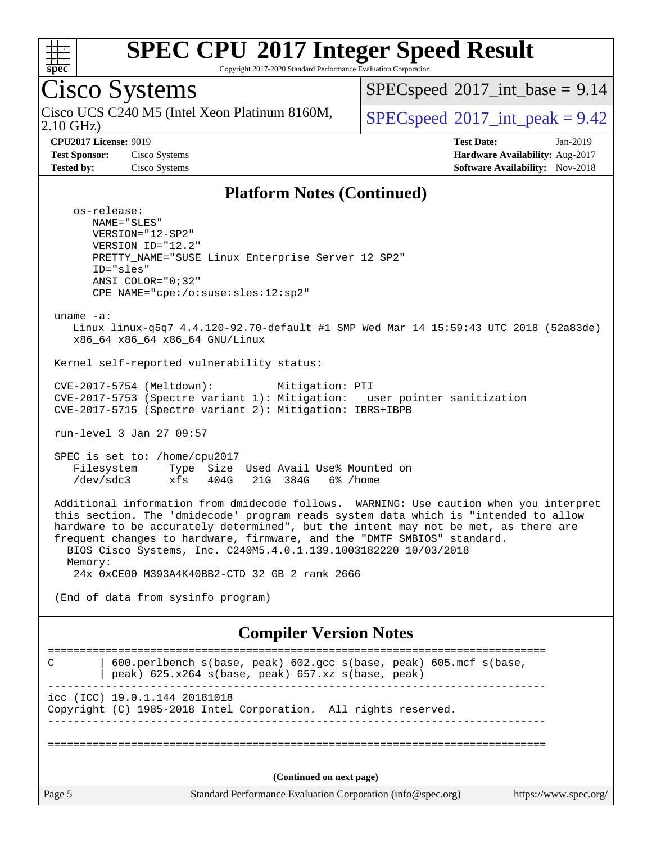

Copyright 2017-2020 Standard Performance Evaluation Corporation

Cisco Systems 2.10 GHz) Cisco UCS C240 M5 (Intel Xeon Platinum 8160M,  $SPECspeed@2017$  $SPECspeed@2017$  int peak = 9.42  $SPECspeed^{\circledcirc}2017\_int\_base = 9.14$  $SPECspeed^{\circledcirc}2017\_int\_base = 9.14$ **[CPU2017 License:](http://www.spec.org/auto/cpu2017/Docs/result-fields.html#CPU2017License)** 9019 **[Test Date:](http://www.spec.org/auto/cpu2017/Docs/result-fields.html#TestDate)** Jan-2019 **[Test Sponsor:](http://www.spec.org/auto/cpu2017/Docs/result-fields.html#TestSponsor)** Cisco Systems **[Hardware Availability:](http://www.spec.org/auto/cpu2017/Docs/result-fields.html#HardwareAvailability)** Aug-2017 **[Tested by:](http://www.spec.org/auto/cpu2017/Docs/result-fields.html#Testedby)** Cisco Systems **[Software Availability:](http://www.spec.org/auto/cpu2017/Docs/result-fields.html#SoftwareAvailability)** Nov-2018 **[Platform Notes \(Continued\)](http://www.spec.org/auto/cpu2017/Docs/result-fields.html#PlatformNotes)** os-release: NAME="SLES" VERSION="12-SP2" VERSION\_ID="12.2" PRETTY\_NAME="SUSE Linux Enterprise Server 12 SP2" ID="sles" ANSI\_COLOR="0;32" CPE\_NAME="cpe:/o:suse:sles:12:sp2" uname -a: Linux linux-q5q7 4.4.120-92.70-default #1 SMP Wed Mar 14 15:59:43 UTC 2018 (52a83de) x86\_64 x86\_64 x86\_64 GNU/Linux Kernel self-reported vulnerability status: CVE-2017-5754 (Meltdown): Mitigation: PTI CVE-2017-5753 (Spectre variant 1): Mitigation: \_\_user pointer sanitization CVE-2017-5715 (Spectre variant 2): Mitigation: IBRS+IBPB run-level 3 Jan 27 09:57 SPEC is set to: /home/cpu2017 Filesystem Type Size Used Avail Use% Mounted on /dev/sdc3 xfs 404G 21G 384G 6% /home Additional information from dmidecode follows. WARNING: Use caution when you interpret this section. The 'dmidecode' program reads system data which is "intended to allow hardware to be accurately determined", but the intent may not be met, as there are frequent changes to hardware, firmware, and the "DMTF SMBIOS" standard. BIOS Cisco Systems, Inc. C240M5.4.0.1.139.1003182220 10/03/2018 Memory: 24x 0xCE00 M393A4K40BB2-CTD 32 GB 2 rank 2666 (End of data from sysinfo program) **[Compiler Version Notes](http://www.spec.org/auto/cpu2017/Docs/result-fields.html#CompilerVersionNotes)** ============================================================================== C | 600.perlbench\_s(base, peak) 602.gcc\_s(base, peak) 605.mcf\_s(base, | peak) 625.x264\_s(base, peak) 657.xz\_s(base, peak) ----------------------------------------------------------------------------- icc (ICC) 19.0.1.144 20181018 Copyright (C) 1985-2018 Intel Corporation. All rights reserved. ------------------------------------------------------------------------------ ============================================================================== **(Continued on next page)**

Page 5 Standard Performance Evaluation Corporation [\(info@spec.org\)](mailto:info@spec.org) <https://www.spec.org/>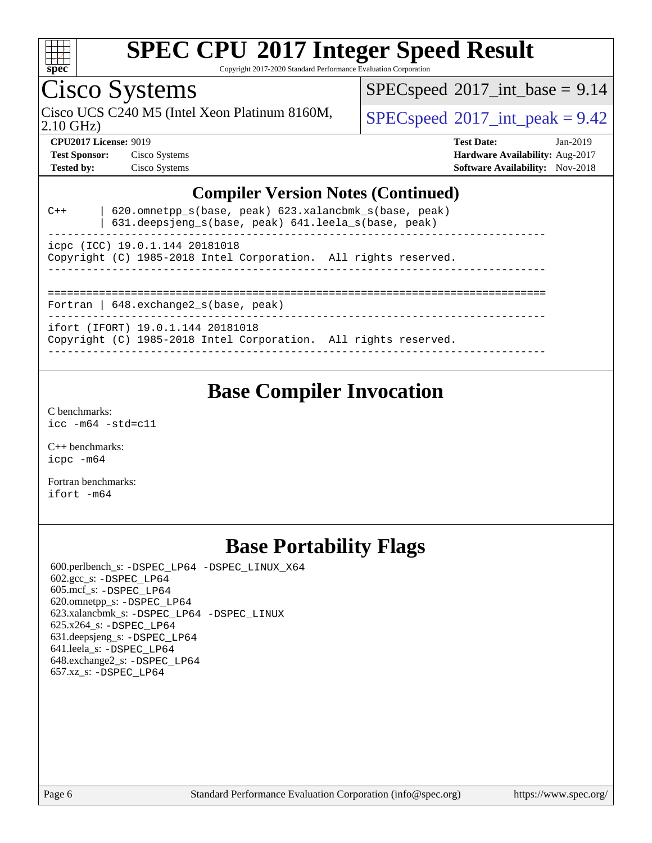

Copyright 2017-2020 Standard Performance Evaluation Corporation

### Cisco Systems

Cisco UCS C240 M5 (Intel Xeon Platinum 8160M,  $SPECspeed@2017\_int\_peak = 9.42$  $SPECspeed@2017\_int\_peak = 9.42$ 

 $SPECspeed*2017\_int\_base = 9.14$  $SPECspeed*2017\_int\_base = 9.14$ 

2.10 GHz)

**[CPU2017 License:](http://www.spec.org/auto/cpu2017/Docs/result-fields.html#CPU2017License)** 9019 **[Test Date:](http://www.spec.org/auto/cpu2017/Docs/result-fields.html#TestDate)** Jan-2019 **[Test Sponsor:](http://www.spec.org/auto/cpu2017/Docs/result-fields.html#TestSponsor)** Cisco Systems **[Hardware Availability:](http://www.spec.org/auto/cpu2017/Docs/result-fields.html#HardwareAvailability)** Aug-2017 **[Tested by:](http://www.spec.org/auto/cpu2017/Docs/result-fields.html#Testedby)** Cisco Systems **[Software Availability:](http://www.spec.org/auto/cpu2017/Docs/result-fields.html#SoftwareAvailability)** Nov-2018

#### **[Compiler Version Notes \(Continued\)](http://www.spec.org/auto/cpu2017/Docs/result-fields.html#CompilerVersionNotes)**

| $C++$                                        | 620.omnetpp s(base, peak) 623.xalancbmk s(base, peak)<br>$631.\text{deepsigng_s(base, peak)}$ 641.leela_s(base, peak) |  |  |  |  |  |  |  |
|----------------------------------------------|-----------------------------------------------------------------------------------------------------------------------|--|--|--|--|--|--|--|
|                                              | icpc (ICC) 19.0.1.144 20181018<br>Copyright (C) 1985-2018 Intel Corporation. All rights reserved.                     |  |  |  |  |  |  |  |
| Fortran   $648$ . exchange2 $s$ (base, peak) |                                                                                                                       |  |  |  |  |  |  |  |
|                                              | ifort (IFORT) 19.0.1.144 20181018<br>Copyright (C) 1985-2018 Intel Corporation. All rights reserved.                  |  |  |  |  |  |  |  |

#### **[Base Compiler Invocation](http://www.spec.org/auto/cpu2017/Docs/result-fields.html#BaseCompilerInvocation)**

[C benchmarks](http://www.spec.org/auto/cpu2017/Docs/result-fields.html#Cbenchmarks): [icc -m64 -std=c11](http://www.spec.org/cpu2017/results/res2019q1/cpu2017-20190205-11040.flags.html#user_CCbase_intel_icc_64bit_c11_33ee0cdaae7deeeab2a9725423ba97205ce30f63b9926c2519791662299b76a0318f32ddfffdc46587804de3178b4f9328c46fa7c2b0cd779d7a61945c91cd35)

[C++ benchmarks:](http://www.spec.org/auto/cpu2017/Docs/result-fields.html#CXXbenchmarks) [icpc -m64](http://www.spec.org/cpu2017/results/res2019q1/cpu2017-20190205-11040.flags.html#user_CXXbase_intel_icpc_64bit_4ecb2543ae3f1412ef961e0650ca070fec7b7afdcd6ed48761b84423119d1bf6bdf5cad15b44d48e7256388bc77273b966e5eb805aefd121eb22e9299b2ec9d9)

[Fortran benchmarks](http://www.spec.org/auto/cpu2017/Docs/result-fields.html#Fortranbenchmarks): [ifort -m64](http://www.spec.org/cpu2017/results/res2019q1/cpu2017-20190205-11040.flags.html#user_FCbase_intel_ifort_64bit_24f2bb282fbaeffd6157abe4f878425411749daecae9a33200eee2bee2fe76f3b89351d69a8130dd5949958ce389cf37ff59a95e7a40d588e8d3a57e0c3fd751)

#### **[Base Portability Flags](http://www.spec.org/auto/cpu2017/Docs/result-fields.html#BasePortabilityFlags)**

 600.perlbench\_s: [-DSPEC\\_LP64](http://www.spec.org/cpu2017/results/res2019q1/cpu2017-20190205-11040.flags.html#b600.perlbench_s_basePORTABILITY_DSPEC_LP64) [-DSPEC\\_LINUX\\_X64](http://www.spec.org/cpu2017/results/res2019q1/cpu2017-20190205-11040.flags.html#b600.perlbench_s_baseCPORTABILITY_DSPEC_LINUX_X64) 602.gcc\_s: [-DSPEC\\_LP64](http://www.spec.org/cpu2017/results/res2019q1/cpu2017-20190205-11040.flags.html#suite_basePORTABILITY602_gcc_s_DSPEC_LP64) 605.mcf\_s: [-DSPEC\\_LP64](http://www.spec.org/cpu2017/results/res2019q1/cpu2017-20190205-11040.flags.html#suite_basePORTABILITY605_mcf_s_DSPEC_LP64) 620.omnetpp\_s: [-DSPEC\\_LP64](http://www.spec.org/cpu2017/results/res2019q1/cpu2017-20190205-11040.flags.html#suite_basePORTABILITY620_omnetpp_s_DSPEC_LP64) 623.xalancbmk\_s: [-DSPEC\\_LP64](http://www.spec.org/cpu2017/results/res2019q1/cpu2017-20190205-11040.flags.html#suite_basePORTABILITY623_xalancbmk_s_DSPEC_LP64) [-DSPEC\\_LINUX](http://www.spec.org/cpu2017/results/res2019q1/cpu2017-20190205-11040.flags.html#b623.xalancbmk_s_baseCXXPORTABILITY_DSPEC_LINUX) 625.x264\_s: [-DSPEC\\_LP64](http://www.spec.org/cpu2017/results/res2019q1/cpu2017-20190205-11040.flags.html#suite_basePORTABILITY625_x264_s_DSPEC_LP64) 631.deepsjeng\_s: [-DSPEC\\_LP64](http://www.spec.org/cpu2017/results/res2019q1/cpu2017-20190205-11040.flags.html#suite_basePORTABILITY631_deepsjeng_s_DSPEC_LP64) 641.leela\_s: [-DSPEC\\_LP64](http://www.spec.org/cpu2017/results/res2019q1/cpu2017-20190205-11040.flags.html#suite_basePORTABILITY641_leela_s_DSPEC_LP64) 648.exchange2\_s: [-DSPEC\\_LP64](http://www.spec.org/cpu2017/results/res2019q1/cpu2017-20190205-11040.flags.html#suite_basePORTABILITY648_exchange2_s_DSPEC_LP64) 657.xz\_s: [-DSPEC\\_LP64](http://www.spec.org/cpu2017/results/res2019q1/cpu2017-20190205-11040.flags.html#suite_basePORTABILITY657_xz_s_DSPEC_LP64)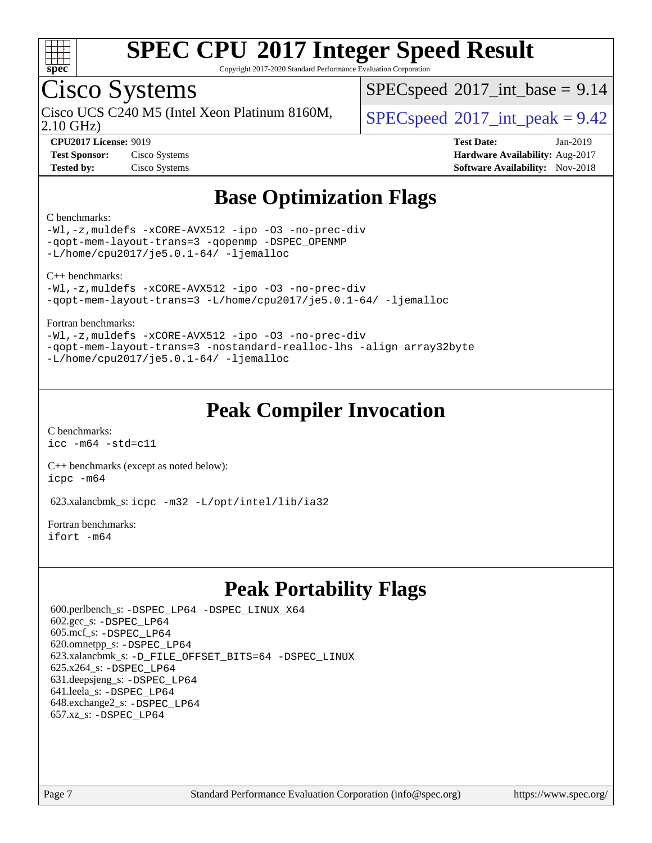

Copyright 2017-2020 Standard Performance Evaluation Corporation

### Cisco Systems

Cisco UCS C240 M5 (Intel Xeon Platinum 8160M,  $\big|$  [SPECspeed](http://www.spec.org/auto/cpu2017/Docs/result-fields.html#SPECspeed2017intpeak)®[2017\\_int\\_peak = 9](http://www.spec.org/auto/cpu2017/Docs/result-fields.html#SPECspeed2017intpeak).42

 $SPECspeed^{\circ}2017\_int\_base = 9.14$  $SPECspeed^{\circ}2017\_int\_base = 9.14$ 

2.10 GHz)

**[CPU2017 License:](http://www.spec.org/auto/cpu2017/Docs/result-fields.html#CPU2017License)** 9019 **[Test Date:](http://www.spec.org/auto/cpu2017/Docs/result-fields.html#TestDate)** Jan-2019 **[Test Sponsor:](http://www.spec.org/auto/cpu2017/Docs/result-fields.html#TestSponsor)** Cisco Systems **[Hardware Availability:](http://www.spec.org/auto/cpu2017/Docs/result-fields.html#HardwareAvailability)** Aug-2017 **[Tested by:](http://www.spec.org/auto/cpu2017/Docs/result-fields.html#Testedby)** Cisco Systems **[Software Availability:](http://www.spec.org/auto/cpu2017/Docs/result-fields.html#SoftwareAvailability)** Nov-2018

### **[Base Optimization Flags](http://www.spec.org/auto/cpu2017/Docs/result-fields.html#BaseOptimizationFlags)**

#### [C benchmarks](http://www.spec.org/auto/cpu2017/Docs/result-fields.html#Cbenchmarks):

[-Wl,-z,muldefs](http://www.spec.org/cpu2017/results/res2019q1/cpu2017-20190205-11040.flags.html#user_CCbase_link_force_multiple1_b4cbdb97b34bdee9ceefcfe54f4c8ea74255f0b02a4b23e853cdb0e18eb4525ac79b5a88067c842dd0ee6996c24547a27a4b99331201badda8798ef8a743f577) [-xCORE-AVX512](http://www.spec.org/cpu2017/results/res2019q1/cpu2017-20190205-11040.flags.html#user_CCbase_f-xCORE-AVX512) [-ipo](http://www.spec.org/cpu2017/results/res2019q1/cpu2017-20190205-11040.flags.html#user_CCbase_f-ipo) [-O3](http://www.spec.org/cpu2017/results/res2019q1/cpu2017-20190205-11040.flags.html#user_CCbase_f-O3) [-no-prec-div](http://www.spec.org/cpu2017/results/res2019q1/cpu2017-20190205-11040.flags.html#user_CCbase_f-no-prec-div) [-qopt-mem-layout-trans=3](http://www.spec.org/cpu2017/results/res2019q1/cpu2017-20190205-11040.flags.html#user_CCbase_f-qopt-mem-layout-trans_de80db37974c74b1f0e20d883f0b675c88c3b01e9d123adea9b28688d64333345fb62bc4a798493513fdb68f60282f9a726aa07f478b2f7113531aecce732043) [-qopenmp](http://www.spec.org/cpu2017/results/res2019q1/cpu2017-20190205-11040.flags.html#user_CCbase_qopenmp_16be0c44f24f464004c6784a7acb94aca937f053568ce72f94b139a11c7c168634a55f6653758ddd83bcf7b8463e8028bb0b48b77bcddc6b78d5d95bb1df2967) [-DSPEC\\_OPENMP](http://www.spec.org/cpu2017/results/res2019q1/cpu2017-20190205-11040.flags.html#suite_CCbase_DSPEC_OPENMP) [-L/home/cpu2017/je5.0.1-64/](http://www.spec.org/cpu2017/results/res2019q1/cpu2017-20190205-11040.flags.html#user_CCbase_jemalloc_link_path64_8e927a5f1bdac0405e66c637541874330e08086b5e62a1d024bcf3497e3c64fd173c8afb7d1730d51f6da781ef4c439bdab468bb8364cf71435e0c609fac500c) [-ljemalloc](http://www.spec.org/cpu2017/results/res2019q1/cpu2017-20190205-11040.flags.html#user_CCbase_jemalloc_link_lib_d1249b907c500fa1c0672f44f562e3d0f79738ae9e3c4a9c376d49f265a04b9c99b167ecedbf6711b3085be911c67ff61f150a17b3472be731631ba4d0471706)

[C++ benchmarks:](http://www.spec.org/auto/cpu2017/Docs/result-fields.html#CXXbenchmarks)

[-Wl,-z,muldefs](http://www.spec.org/cpu2017/results/res2019q1/cpu2017-20190205-11040.flags.html#user_CXXbase_link_force_multiple1_b4cbdb97b34bdee9ceefcfe54f4c8ea74255f0b02a4b23e853cdb0e18eb4525ac79b5a88067c842dd0ee6996c24547a27a4b99331201badda8798ef8a743f577) [-xCORE-AVX512](http://www.spec.org/cpu2017/results/res2019q1/cpu2017-20190205-11040.flags.html#user_CXXbase_f-xCORE-AVX512) [-ipo](http://www.spec.org/cpu2017/results/res2019q1/cpu2017-20190205-11040.flags.html#user_CXXbase_f-ipo) [-O3](http://www.spec.org/cpu2017/results/res2019q1/cpu2017-20190205-11040.flags.html#user_CXXbase_f-O3) [-no-prec-div](http://www.spec.org/cpu2017/results/res2019q1/cpu2017-20190205-11040.flags.html#user_CXXbase_f-no-prec-div) [-qopt-mem-layout-trans=3](http://www.spec.org/cpu2017/results/res2019q1/cpu2017-20190205-11040.flags.html#user_CXXbase_f-qopt-mem-layout-trans_de80db37974c74b1f0e20d883f0b675c88c3b01e9d123adea9b28688d64333345fb62bc4a798493513fdb68f60282f9a726aa07f478b2f7113531aecce732043) [-L/home/cpu2017/je5.0.1-64/](http://www.spec.org/cpu2017/results/res2019q1/cpu2017-20190205-11040.flags.html#user_CXXbase_jemalloc_link_path64_8e927a5f1bdac0405e66c637541874330e08086b5e62a1d024bcf3497e3c64fd173c8afb7d1730d51f6da781ef4c439bdab468bb8364cf71435e0c609fac500c) [-ljemalloc](http://www.spec.org/cpu2017/results/res2019q1/cpu2017-20190205-11040.flags.html#user_CXXbase_jemalloc_link_lib_d1249b907c500fa1c0672f44f562e3d0f79738ae9e3c4a9c376d49f265a04b9c99b167ecedbf6711b3085be911c67ff61f150a17b3472be731631ba4d0471706)

#### [Fortran benchmarks](http://www.spec.org/auto/cpu2017/Docs/result-fields.html#Fortranbenchmarks):

[-Wl,-z,muldefs](http://www.spec.org/cpu2017/results/res2019q1/cpu2017-20190205-11040.flags.html#user_FCbase_link_force_multiple1_b4cbdb97b34bdee9ceefcfe54f4c8ea74255f0b02a4b23e853cdb0e18eb4525ac79b5a88067c842dd0ee6996c24547a27a4b99331201badda8798ef8a743f577) [-xCORE-AVX512](http://www.spec.org/cpu2017/results/res2019q1/cpu2017-20190205-11040.flags.html#user_FCbase_f-xCORE-AVX512) [-ipo](http://www.spec.org/cpu2017/results/res2019q1/cpu2017-20190205-11040.flags.html#user_FCbase_f-ipo) [-O3](http://www.spec.org/cpu2017/results/res2019q1/cpu2017-20190205-11040.flags.html#user_FCbase_f-O3) [-no-prec-div](http://www.spec.org/cpu2017/results/res2019q1/cpu2017-20190205-11040.flags.html#user_FCbase_f-no-prec-div) [-qopt-mem-layout-trans=3](http://www.spec.org/cpu2017/results/res2019q1/cpu2017-20190205-11040.flags.html#user_FCbase_f-qopt-mem-layout-trans_de80db37974c74b1f0e20d883f0b675c88c3b01e9d123adea9b28688d64333345fb62bc4a798493513fdb68f60282f9a726aa07f478b2f7113531aecce732043) [-nostandard-realloc-lhs](http://www.spec.org/cpu2017/results/res2019q1/cpu2017-20190205-11040.flags.html#user_FCbase_f_2003_std_realloc_82b4557e90729c0f113870c07e44d33d6f5a304b4f63d4c15d2d0f1fab99f5daaed73bdb9275d9ae411527f28b936061aa8b9c8f2d63842963b95c9dd6426b8a) [-align array32byte](http://www.spec.org/cpu2017/results/res2019q1/cpu2017-20190205-11040.flags.html#user_FCbase_align_array32byte_b982fe038af199962ba9a80c053b8342c548c85b40b8e86eb3cc33dee0d7986a4af373ac2d51c3f7cf710a18d62fdce2948f201cd044323541f22fc0fffc51b6)  $-L/home/cpu2017/je5.0.1-64/ -ljemalloc$  $-L/home/cpu2017/je5.0.1-64/ -ljemalloc$  $-L/home/cpu2017/je5.0.1-64/ -ljemalloc$ 

#### **[Peak Compiler Invocation](http://www.spec.org/auto/cpu2017/Docs/result-fields.html#PeakCompilerInvocation)**

[C benchmarks](http://www.spec.org/auto/cpu2017/Docs/result-fields.html#Cbenchmarks): [icc -m64 -std=c11](http://www.spec.org/cpu2017/results/res2019q1/cpu2017-20190205-11040.flags.html#user_CCpeak_intel_icc_64bit_c11_33ee0cdaae7deeeab2a9725423ba97205ce30f63b9926c2519791662299b76a0318f32ddfffdc46587804de3178b4f9328c46fa7c2b0cd779d7a61945c91cd35)

[C++ benchmarks \(except as noted below\):](http://www.spec.org/auto/cpu2017/Docs/result-fields.html#CXXbenchmarksexceptasnotedbelow) [icpc -m64](http://www.spec.org/cpu2017/results/res2019q1/cpu2017-20190205-11040.flags.html#user_CXXpeak_intel_icpc_64bit_4ecb2543ae3f1412ef961e0650ca070fec7b7afdcd6ed48761b84423119d1bf6bdf5cad15b44d48e7256388bc77273b966e5eb805aefd121eb22e9299b2ec9d9)

623.xalancbmk\_s: [icpc -m32 -L/opt/intel/lib/ia32](http://www.spec.org/cpu2017/results/res2019q1/cpu2017-20190205-11040.flags.html#user_peakCXXLD623_xalancbmk_s_intel_icpc_44eae83c1f565e7e266431f067370024ba26559400a3332485578bf716e23841c734f948145e944e2f4b6f3ce32c2c966ea92b66ca79c6f94f301242c0f554cf)

[Fortran benchmarks](http://www.spec.org/auto/cpu2017/Docs/result-fields.html#Fortranbenchmarks): [ifort -m64](http://www.spec.org/cpu2017/results/res2019q1/cpu2017-20190205-11040.flags.html#user_FCpeak_intel_ifort_64bit_24f2bb282fbaeffd6157abe4f878425411749daecae9a33200eee2bee2fe76f3b89351d69a8130dd5949958ce389cf37ff59a95e7a40d588e8d3a57e0c3fd751)

#### **[Peak Portability Flags](http://www.spec.org/auto/cpu2017/Docs/result-fields.html#PeakPortabilityFlags)**

 600.perlbench\_s: [-DSPEC\\_LP64](http://www.spec.org/cpu2017/results/res2019q1/cpu2017-20190205-11040.flags.html#b600.perlbench_s_peakPORTABILITY_DSPEC_LP64) [-DSPEC\\_LINUX\\_X64](http://www.spec.org/cpu2017/results/res2019q1/cpu2017-20190205-11040.flags.html#b600.perlbench_s_peakCPORTABILITY_DSPEC_LINUX_X64) 602.gcc\_s: [-DSPEC\\_LP64](http://www.spec.org/cpu2017/results/res2019q1/cpu2017-20190205-11040.flags.html#suite_peakPORTABILITY602_gcc_s_DSPEC_LP64) 605.mcf\_s: [-DSPEC\\_LP64](http://www.spec.org/cpu2017/results/res2019q1/cpu2017-20190205-11040.flags.html#suite_peakPORTABILITY605_mcf_s_DSPEC_LP64) 620.omnetpp\_s: [-DSPEC\\_LP64](http://www.spec.org/cpu2017/results/res2019q1/cpu2017-20190205-11040.flags.html#suite_peakPORTABILITY620_omnetpp_s_DSPEC_LP64) 623.xalancbmk\_s: [-D\\_FILE\\_OFFSET\\_BITS=64](http://www.spec.org/cpu2017/results/res2019q1/cpu2017-20190205-11040.flags.html#user_peakPORTABILITY623_xalancbmk_s_file_offset_bits_64_5ae949a99b284ddf4e95728d47cb0843d81b2eb0e18bdfe74bbf0f61d0b064f4bda2f10ea5eb90e1dcab0e84dbc592acfc5018bc955c18609f94ddb8d550002c) [-DSPEC\\_LINUX](http://www.spec.org/cpu2017/results/res2019q1/cpu2017-20190205-11040.flags.html#b623.xalancbmk_s_peakCXXPORTABILITY_DSPEC_LINUX) 625.x264\_s: [-DSPEC\\_LP64](http://www.spec.org/cpu2017/results/res2019q1/cpu2017-20190205-11040.flags.html#suite_peakPORTABILITY625_x264_s_DSPEC_LP64) 631.deepsjeng\_s: [-DSPEC\\_LP64](http://www.spec.org/cpu2017/results/res2019q1/cpu2017-20190205-11040.flags.html#suite_peakPORTABILITY631_deepsjeng_s_DSPEC_LP64) 641.leela\_s: [-DSPEC\\_LP64](http://www.spec.org/cpu2017/results/res2019q1/cpu2017-20190205-11040.flags.html#suite_peakPORTABILITY641_leela_s_DSPEC_LP64) 648.exchange2\_s: [-DSPEC\\_LP64](http://www.spec.org/cpu2017/results/res2019q1/cpu2017-20190205-11040.flags.html#suite_peakPORTABILITY648_exchange2_s_DSPEC_LP64) 657.xz\_s: [-DSPEC\\_LP64](http://www.spec.org/cpu2017/results/res2019q1/cpu2017-20190205-11040.flags.html#suite_peakPORTABILITY657_xz_s_DSPEC_LP64)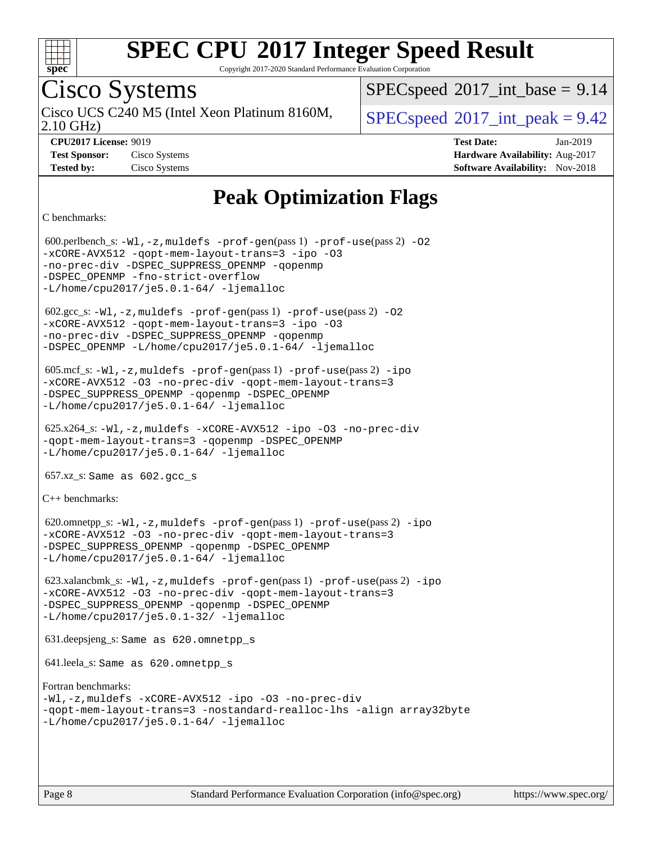

Copyright 2017-2020 Standard Performance Evaluation Corporation

### Cisco Systems

2.10 GHz) Cisco UCS C240 M5 (Intel Xeon Platinum 8160M,  $\big|$  [SPECspeed](http://www.spec.org/auto/cpu2017/Docs/result-fields.html#SPECspeed2017intpeak)®[2017\\_int\\_peak = 9](http://www.spec.org/auto/cpu2017/Docs/result-fields.html#SPECspeed2017intpeak).42

 $SPECspeed^{\circ}2017\_int\_base = 9.14$  $SPECspeed^{\circ}2017\_int\_base = 9.14$ 

**[CPU2017 License:](http://www.spec.org/auto/cpu2017/Docs/result-fields.html#CPU2017License)** 9019 **[Test Date:](http://www.spec.org/auto/cpu2017/Docs/result-fields.html#TestDate)** Jan-2019 **[Test Sponsor:](http://www.spec.org/auto/cpu2017/Docs/result-fields.html#TestSponsor)** Cisco Systems **[Hardware Availability:](http://www.spec.org/auto/cpu2017/Docs/result-fields.html#HardwareAvailability)** Aug-2017 **[Tested by:](http://www.spec.org/auto/cpu2017/Docs/result-fields.html#Testedby)** Cisco Systems **[Software Availability:](http://www.spec.org/auto/cpu2017/Docs/result-fields.html#SoftwareAvailability)** Nov-2018

### **[Peak Optimization Flags](http://www.spec.org/auto/cpu2017/Docs/result-fields.html#PeakOptimizationFlags)**

[C benchmarks](http://www.spec.org/auto/cpu2017/Docs/result-fields.html#Cbenchmarks):

 600.perlbench\_s: [-Wl,-z,muldefs](http://www.spec.org/cpu2017/results/res2019q1/cpu2017-20190205-11040.flags.html#user_peakEXTRA_LDFLAGS600_perlbench_s_link_force_multiple1_b4cbdb97b34bdee9ceefcfe54f4c8ea74255f0b02a4b23e853cdb0e18eb4525ac79b5a88067c842dd0ee6996c24547a27a4b99331201badda8798ef8a743f577) [-prof-gen](http://www.spec.org/cpu2017/results/res2019q1/cpu2017-20190205-11040.flags.html#user_peakPASS1_CFLAGSPASS1_LDFLAGS600_perlbench_s_prof_gen_5aa4926d6013ddb2a31985c654b3eb18169fc0c6952a63635c234f711e6e63dd76e94ad52365559451ec499a2cdb89e4dc58ba4c67ef54ca681ffbe1461d6b36)(pass 1) [-prof-use](http://www.spec.org/cpu2017/results/res2019q1/cpu2017-20190205-11040.flags.html#user_peakPASS2_CFLAGSPASS2_LDFLAGS600_perlbench_s_prof_use_1a21ceae95f36a2b53c25747139a6c16ca95bd9def2a207b4f0849963b97e94f5260e30a0c64f4bb623698870e679ca08317ef8150905d41bd88c6f78df73f19)(pass 2) [-O2](http://www.spec.org/cpu2017/results/res2019q1/cpu2017-20190205-11040.flags.html#user_peakPASS1_COPTIMIZE600_perlbench_s_f-O2) [-xCORE-AVX512](http://www.spec.org/cpu2017/results/res2019q1/cpu2017-20190205-11040.flags.html#user_peakPASS2_COPTIMIZE600_perlbench_s_f-xCORE-AVX512) [-qopt-mem-layout-trans=3](http://www.spec.org/cpu2017/results/res2019q1/cpu2017-20190205-11040.flags.html#user_peakPASS1_COPTIMIZEPASS2_COPTIMIZE600_perlbench_s_f-qopt-mem-layout-trans_de80db37974c74b1f0e20d883f0b675c88c3b01e9d123adea9b28688d64333345fb62bc4a798493513fdb68f60282f9a726aa07f478b2f7113531aecce732043) [-ipo](http://www.spec.org/cpu2017/results/res2019q1/cpu2017-20190205-11040.flags.html#user_peakPASS2_COPTIMIZE600_perlbench_s_f-ipo) [-O3](http://www.spec.org/cpu2017/results/res2019q1/cpu2017-20190205-11040.flags.html#user_peakPASS2_COPTIMIZE600_perlbench_s_f-O3) [-no-prec-div](http://www.spec.org/cpu2017/results/res2019q1/cpu2017-20190205-11040.flags.html#user_peakPASS2_COPTIMIZE600_perlbench_s_f-no-prec-div) [-DSPEC\\_SUPPRESS\\_OPENMP](http://www.spec.org/cpu2017/results/res2019q1/cpu2017-20190205-11040.flags.html#suite_peakPASS1_COPTIMIZE600_perlbench_s_DSPEC_SUPPRESS_OPENMP) [-qopenmp](http://www.spec.org/cpu2017/results/res2019q1/cpu2017-20190205-11040.flags.html#user_peakPASS2_COPTIMIZE600_perlbench_s_qopenmp_16be0c44f24f464004c6784a7acb94aca937f053568ce72f94b139a11c7c168634a55f6653758ddd83bcf7b8463e8028bb0b48b77bcddc6b78d5d95bb1df2967) -DSPEC OPENMP [-fno-strict-overflow](http://www.spec.org/cpu2017/results/res2019q1/cpu2017-20190205-11040.flags.html#user_peakEXTRA_OPTIMIZE600_perlbench_s_f-fno-strict-overflow)  $-L/home/cpu2017/$ je5.0.1-64/ [-ljemalloc](http://www.spec.org/cpu2017/results/res2019q1/cpu2017-20190205-11040.flags.html#user_peakEXTRA_LIBS600_perlbench_s_jemalloc_link_lib_d1249b907c500fa1c0672f44f562e3d0f79738ae9e3c4a9c376d49f265a04b9c99b167ecedbf6711b3085be911c67ff61f150a17b3472be731631ba4d0471706)  $602.\text{sec}\text{s}: -W1, -z$ , muldefs  $-\text{prof}-\text{gen}(pass 1) -\text{prof}-\text{use}(pass 2) -02$ [-xCORE-AVX512](http://www.spec.org/cpu2017/results/res2019q1/cpu2017-20190205-11040.flags.html#user_peakPASS2_COPTIMIZE602_gcc_s_f-xCORE-AVX512) [-qopt-mem-layout-trans=3](http://www.spec.org/cpu2017/results/res2019q1/cpu2017-20190205-11040.flags.html#user_peakPASS1_COPTIMIZEPASS2_COPTIMIZE602_gcc_s_f-qopt-mem-layout-trans_de80db37974c74b1f0e20d883f0b675c88c3b01e9d123adea9b28688d64333345fb62bc4a798493513fdb68f60282f9a726aa07f478b2f7113531aecce732043) [-ipo](http://www.spec.org/cpu2017/results/res2019q1/cpu2017-20190205-11040.flags.html#user_peakPASS2_COPTIMIZE602_gcc_s_f-ipo) [-O3](http://www.spec.org/cpu2017/results/res2019q1/cpu2017-20190205-11040.flags.html#user_peakPASS2_COPTIMIZE602_gcc_s_f-O3) [-no-prec-div](http://www.spec.org/cpu2017/results/res2019q1/cpu2017-20190205-11040.flags.html#user_peakPASS2_COPTIMIZE602_gcc_s_f-no-prec-div) [-DSPEC\\_SUPPRESS\\_OPENMP](http://www.spec.org/cpu2017/results/res2019q1/cpu2017-20190205-11040.flags.html#suite_peakPASS1_COPTIMIZE602_gcc_s_DSPEC_SUPPRESS_OPENMP) [-qopenmp](http://www.spec.org/cpu2017/results/res2019q1/cpu2017-20190205-11040.flags.html#user_peakPASS2_COPTIMIZE602_gcc_s_qopenmp_16be0c44f24f464004c6784a7acb94aca937f053568ce72f94b139a11c7c168634a55f6653758ddd83bcf7b8463e8028bb0b48b77bcddc6b78d5d95bb1df2967) [-DSPEC\\_OPENMP](http://www.spec.org/cpu2017/results/res2019q1/cpu2017-20190205-11040.flags.html#suite_peakPASS2_COPTIMIZE602_gcc_s_DSPEC_OPENMP) [-L/home/cpu2017/je5.0.1-64/](http://www.spec.org/cpu2017/results/res2019q1/cpu2017-20190205-11040.flags.html#user_peakEXTRA_LIBS602_gcc_s_jemalloc_link_path64_8e927a5f1bdac0405e66c637541874330e08086b5e62a1d024bcf3497e3c64fd173c8afb7d1730d51f6da781ef4c439bdab468bb8364cf71435e0c609fac500c) [-ljemalloc](http://www.spec.org/cpu2017/results/res2019q1/cpu2017-20190205-11040.flags.html#user_peakEXTRA_LIBS602_gcc_s_jemalloc_link_lib_d1249b907c500fa1c0672f44f562e3d0f79738ae9e3c4a9c376d49f265a04b9c99b167ecedbf6711b3085be911c67ff61f150a17b3472be731631ba4d0471706) 605.mcf\_s: [-Wl,-z,muldefs](http://www.spec.org/cpu2017/results/res2019q1/cpu2017-20190205-11040.flags.html#user_peakEXTRA_LDFLAGS605_mcf_s_link_force_multiple1_b4cbdb97b34bdee9ceefcfe54f4c8ea74255f0b02a4b23e853cdb0e18eb4525ac79b5a88067c842dd0ee6996c24547a27a4b99331201badda8798ef8a743f577) [-prof-gen](http://www.spec.org/cpu2017/results/res2019q1/cpu2017-20190205-11040.flags.html#user_peakPASS1_CFLAGSPASS1_LDFLAGS605_mcf_s_prof_gen_5aa4926d6013ddb2a31985c654b3eb18169fc0c6952a63635c234f711e6e63dd76e94ad52365559451ec499a2cdb89e4dc58ba4c67ef54ca681ffbe1461d6b36)(pass 1) [-prof-use](http://www.spec.org/cpu2017/results/res2019q1/cpu2017-20190205-11040.flags.html#user_peakPASS2_CFLAGSPASS2_LDFLAGS605_mcf_s_prof_use_1a21ceae95f36a2b53c25747139a6c16ca95bd9def2a207b4f0849963b97e94f5260e30a0c64f4bb623698870e679ca08317ef8150905d41bd88c6f78df73f19)(pass 2) [-ipo](http://www.spec.org/cpu2017/results/res2019q1/cpu2017-20190205-11040.flags.html#user_peakPASS1_COPTIMIZEPASS2_COPTIMIZE605_mcf_s_f-ipo) [-xCORE-AVX512](http://www.spec.org/cpu2017/results/res2019q1/cpu2017-20190205-11040.flags.html#user_peakPASS2_COPTIMIZE605_mcf_s_f-xCORE-AVX512) [-O3](http://www.spec.org/cpu2017/results/res2019q1/cpu2017-20190205-11040.flags.html#user_peakPASS1_COPTIMIZEPASS2_COPTIMIZE605_mcf_s_f-O3) [-no-prec-div](http://www.spec.org/cpu2017/results/res2019q1/cpu2017-20190205-11040.flags.html#user_peakPASS1_COPTIMIZEPASS2_COPTIMIZE605_mcf_s_f-no-prec-div) [-qopt-mem-layout-trans=3](http://www.spec.org/cpu2017/results/res2019q1/cpu2017-20190205-11040.flags.html#user_peakPASS1_COPTIMIZEPASS2_COPTIMIZE605_mcf_s_f-qopt-mem-layout-trans_de80db37974c74b1f0e20d883f0b675c88c3b01e9d123adea9b28688d64333345fb62bc4a798493513fdb68f60282f9a726aa07f478b2f7113531aecce732043) [-DSPEC\\_SUPPRESS\\_OPENMP](http://www.spec.org/cpu2017/results/res2019q1/cpu2017-20190205-11040.flags.html#suite_peakPASS1_COPTIMIZE605_mcf_s_DSPEC_SUPPRESS_OPENMP) [-qopenmp](http://www.spec.org/cpu2017/results/res2019q1/cpu2017-20190205-11040.flags.html#user_peakPASS2_COPTIMIZE605_mcf_s_qopenmp_16be0c44f24f464004c6784a7acb94aca937f053568ce72f94b139a11c7c168634a55f6653758ddd83bcf7b8463e8028bb0b48b77bcddc6b78d5d95bb1df2967) [-DSPEC\\_OPENMP](http://www.spec.org/cpu2017/results/res2019q1/cpu2017-20190205-11040.flags.html#suite_peakPASS2_COPTIMIZE605_mcf_s_DSPEC_OPENMP) [-L/home/cpu2017/je5.0.1-64/](http://www.spec.org/cpu2017/results/res2019q1/cpu2017-20190205-11040.flags.html#user_peakEXTRA_LIBS605_mcf_s_jemalloc_link_path64_8e927a5f1bdac0405e66c637541874330e08086b5e62a1d024bcf3497e3c64fd173c8afb7d1730d51f6da781ef4c439bdab468bb8364cf71435e0c609fac500c) [-ljemalloc](http://www.spec.org/cpu2017/results/res2019q1/cpu2017-20190205-11040.flags.html#user_peakEXTRA_LIBS605_mcf_s_jemalloc_link_lib_d1249b907c500fa1c0672f44f562e3d0f79738ae9e3c4a9c376d49f265a04b9c99b167ecedbf6711b3085be911c67ff61f150a17b3472be731631ba4d0471706) 625.x264\_s: [-Wl,-z,muldefs](http://www.spec.org/cpu2017/results/res2019q1/cpu2017-20190205-11040.flags.html#user_peakEXTRA_LDFLAGS625_x264_s_link_force_multiple1_b4cbdb97b34bdee9ceefcfe54f4c8ea74255f0b02a4b23e853cdb0e18eb4525ac79b5a88067c842dd0ee6996c24547a27a4b99331201badda8798ef8a743f577) [-xCORE-AVX512](http://www.spec.org/cpu2017/results/res2019q1/cpu2017-20190205-11040.flags.html#user_peakCOPTIMIZE625_x264_s_f-xCORE-AVX512) [-ipo](http://www.spec.org/cpu2017/results/res2019q1/cpu2017-20190205-11040.flags.html#user_peakCOPTIMIZE625_x264_s_f-ipo) [-O3](http://www.spec.org/cpu2017/results/res2019q1/cpu2017-20190205-11040.flags.html#user_peakCOPTIMIZE625_x264_s_f-O3) [-no-prec-div](http://www.spec.org/cpu2017/results/res2019q1/cpu2017-20190205-11040.flags.html#user_peakCOPTIMIZE625_x264_s_f-no-prec-div) [-qopt-mem-layout-trans=3](http://www.spec.org/cpu2017/results/res2019q1/cpu2017-20190205-11040.flags.html#user_peakCOPTIMIZE625_x264_s_f-qopt-mem-layout-trans_de80db37974c74b1f0e20d883f0b675c88c3b01e9d123adea9b28688d64333345fb62bc4a798493513fdb68f60282f9a726aa07f478b2f7113531aecce732043) [-qopenmp](http://www.spec.org/cpu2017/results/res2019q1/cpu2017-20190205-11040.flags.html#user_peakCOPTIMIZE625_x264_s_qopenmp_16be0c44f24f464004c6784a7acb94aca937f053568ce72f94b139a11c7c168634a55f6653758ddd83bcf7b8463e8028bb0b48b77bcddc6b78d5d95bb1df2967) [-DSPEC\\_OPENMP](http://www.spec.org/cpu2017/results/res2019q1/cpu2017-20190205-11040.flags.html#suite_peakCOPTIMIZE625_x264_s_DSPEC_OPENMP) [-L/home/cpu2017/je5.0.1-64/](http://www.spec.org/cpu2017/results/res2019q1/cpu2017-20190205-11040.flags.html#user_peakEXTRA_LIBS625_x264_s_jemalloc_link_path64_8e927a5f1bdac0405e66c637541874330e08086b5e62a1d024bcf3497e3c64fd173c8afb7d1730d51f6da781ef4c439bdab468bb8364cf71435e0c609fac500c) [-ljemalloc](http://www.spec.org/cpu2017/results/res2019q1/cpu2017-20190205-11040.flags.html#user_peakEXTRA_LIBS625_x264_s_jemalloc_link_lib_d1249b907c500fa1c0672f44f562e3d0f79738ae9e3c4a9c376d49f265a04b9c99b167ecedbf6711b3085be911c67ff61f150a17b3472be731631ba4d0471706)  $657.xz$ \_s: Same as  $602.gcc$ \_s [C++ benchmarks:](http://www.spec.org/auto/cpu2017/Docs/result-fields.html#CXXbenchmarks) 620.omnetpp\_s: [-Wl,-z,muldefs](http://www.spec.org/cpu2017/results/res2019q1/cpu2017-20190205-11040.flags.html#user_peakEXTRA_LDFLAGS620_omnetpp_s_link_force_multiple1_b4cbdb97b34bdee9ceefcfe54f4c8ea74255f0b02a4b23e853cdb0e18eb4525ac79b5a88067c842dd0ee6996c24547a27a4b99331201badda8798ef8a743f577) [-prof-gen](http://www.spec.org/cpu2017/results/res2019q1/cpu2017-20190205-11040.flags.html#user_peakPASS1_CXXFLAGSPASS1_LDFLAGS620_omnetpp_s_prof_gen_5aa4926d6013ddb2a31985c654b3eb18169fc0c6952a63635c234f711e6e63dd76e94ad52365559451ec499a2cdb89e4dc58ba4c67ef54ca681ffbe1461d6b36)(pass 1) [-prof-use](http://www.spec.org/cpu2017/results/res2019q1/cpu2017-20190205-11040.flags.html#user_peakPASS2_CXXFLAGSPASS2_LDFLAGS620_omnetpp_s_prof_use_1a21ceae95f36a2b53c25747139a6c16ca95bd9def2a207b4f0849963b97e94f5260e30a0c64f4bb623698870e679ca08317ef8150905d41bd88c6f78df73f19)(pass 2) [-ipo](http://www.spec.org/cpu2017/results/res2019q1/cpu2017-20190205-11040.flags.html#user_peakPASS1_CXXOPTIMIZEPASS2_CXXOPTIMIZE620_omnetpp_s_f-ipo) [-xCORE-AVX512](http://www.spec.org/cpu2017/results/res2019q1/cpu2017-20190205-11040.flags.html#user_peakPASS2_CXXOPTIMIZE620_omnetpp_s_f-xCORE-AVX512) [-O3](http://www.spec.org/cpu2017/results/res2019q1/cpu2017-20190205-11040.flags.html#user_peakPASS1_CXXOPTIMIZEPASS2_CXXOPTIMIZE620_omnetpp_s_f-O3) [-no-prec-div](http://www.spec.org/cpu2017/results/res2019q1/cpu2017-20190205-11040.flags.html#user_peakPASS1_CXXOPTIMIZEPASS2_CXXOPTIMIZE620_omnetpp_s_f-no-prec-div) [-qopt-mem-layout-trans=3](http://www.spec.org/cpu2017/results/res2019q1/cpu2017-20190205-11040.flags.html#user_peakPASS1_CXXOPTIMIZEPASS2_CXXOPTIMIZE620_omnetpp_s_f-qopt-mem-layout-trans_de80db37974c74b1f0e20d883f0b675c88c3b01e9d123adea9b28688d64333345fb62bc4a798493513fdb68f60282f9a726aa07f478b2f7113531aecce732043) [-DSPEC\\_SUPPRESS\\_OPENMP](http://www.spec.org/cpu2017/results/res2019q1/cpu2017-20190205-11040.flags.html#suite_peakPASS1_CXXOPTIMIZE620_omnetpp_s_DSPEC_SUPPRESS_OPENMP) [-qopenmp](http://www.spec.org/cpu2017/results/res2019q1/cpu2017-20190205-11040.flags.html#user_peakPASS2_CXXOPTIMIZE620_omnetpp_s_qopenmp_16be0c44f24f464004c6784a7acb94aca937f053568ce72f94b139a11c7c168634a55f6653758ddd83bcf7b8463e8028bb0b48b77bcddc6b78d5d95bb1df2967) [-DSPEC\\_OPENMP](http://www.spec.org/cpu2017/results/res2019q1/cpu2017-20190205-11040.flags.html#suite_peakPASS2_CXXOPTIMIZE620_omnetpp_s_DSPEC_OPENMP) [-L/home/cpu2017/je5.0.1-64/](http://www.spec.org/cpu2017/results/res2019q1/cpu2017-20190205-11040.flags.html#user_peakEXTRA_LIBS620_omnetpp_s_jemalloc_link_path64_8e927a5f1bdac0405e66c637541874330e08086b5e62a1d024bcf3497e3c64fd173c8afb7d1730d51f6da781ef4c439bdab468bb8364cf71435e0c609fac500c) [-ljemalloc](http://www.spec.org/cpu2017/results/res2019q1/cpu2017-20190205-11040.flags.html#user_peakEXTRA_LIBS620_omnetpp_s_jemalloc_link_lib_d1249b907c500fa1c0672f44f562e3d0f79738ae9e3c4a9c376d49f265a04b9c99b167ecedbf6711b3085be911c67ff61f150a17b3472be731631ba4d0471706) 623.xalancbmk\_s: [-Wl,-z,muldefs](http://www.spec.org/cpu2017/results/res2019q1/cpu2017-20190205-11040.flags.html#user_peakEXTRA_LDFLAGS623_xalancbmk_s_link_force_multiple1_b4cbdb97b34bdee9ceefcfe54f4c8ea74255f0b02a4b23e853cdb0e18eb4525ac79b5a88067c842dd0ee6996c24547a27a4b99331201badda8798ef8a743f577) [-prof-gen](http://www.spec.org/cpu2017/results/res2019q1/cpu2017-20190205-11040.flags.html#user_peakPASS1_CXXFLAGSPASS1_LDFLAGS623_xalancbmk_s_prof_gen_5aa4926d6013ddb2a31985c654b3eb18169fc0c6952a63635c234f711e6e63dd76e94ad52365559451ec499a2cdb89e4dc58ba4c67ef54ca681ffbe1461d6b36)(pass 1) [-prof-use](http://www.spec.org/cpu2017/results/res2019q1/cpu2017-20190205-11040.flags.html#user_peakPASS2_CXXFLAGSPASS2_LDFLAGS623_xalancbmk_s_prof_use_1a21ceae95f36a2b53c25747139a6c16ca95bd9def2a207b4f0849963b97e94f5260e30a0c64f4bb623698870e679ca08317ef8150905d41bd88c6f78df73f19)(pass 2) [-ipo](http://www.spec.org/cpu2017/results/res2019q1/cpu2017-20190205-11040.flags.html#user_peakPASS1_CXXOPTIMIZEPASS2_CXXOPTIMIZE623_xalancbmk_s_f-ipo) [-xCORE-AVX512](http://www.spec.org/cpu2017/results/res2019q1/cpu2017-20190205-11040.flags.html#user_peakPASS2_CXXOPTIMIZE623_xalancbmk_s_f-xCORE-AVX512) [-O3](http://www.spec.org/cpu2017/results/res2019q1/cpu2017-20190205-11040.flags.html#user_peakPASS1_CXXOPTIMIZEPASS2_CXXOPTIMIZE623_xalancbmk_s_f-O3) [-no-prec-div](http://www.spec.org/cpu2017/results/res2019q1/cpu2017-20190205-11040.flags.html#user_peakPASS1_CXXOPTIMIZEPASS2_CXXOPTIMIZE623_xalancbmk_s_f-no-prec-div) [-qopt-mem-layout-trans=3](http://www.spec.org/cpu2017/results/res2019q1/cpu2017-20190205-11040.flags.html#user_peakPASS1_CXXOPTIMIZEPASS2_CXXOPTIMIZE623_xalancbmk_s_f-qopt-mem-layout-trans_de80db37974c74b1f0e20d883f0b675c88c3b01e9d123adea9b28688d64333345fb62bc4a798493513fdb68f60282f9a726aa07f478b2f7113531aecce732043) [-DSPEC\\_SUPPRESS\\_OPENMP](http://www.spec.org/cpu2017/results/res2019q1/cpu2017-20190205-11040.flags.html#suite_peakPASS1_CXXOPTIMIZE623_xalancbmk_s_DSPEC_SUPPRESS_OPENMP) [-qopenmp](http://www.spec.org/cpu2017/results/res2019q1/cpu2017-20190205-11040.flags.html#user_peakPASS2_CXXOPTIMIZE623_xalancbmk_s_qopenmp_16be0c44f24f464004c6784a7acb94aca937f053568ce72f94b139a11c7c168634a55f6653758ddd83bcf7b8463e8028bb0b48b77bcddc6b78d5d95bb1df2967) [-DSPEC\\_OPENMP](http://www.spec.org/cpu2017/results/res2019q1/cpu2017-20190205-11040.flags.html#suite_peakPASS2_CXXOPTIMIZE623_xalancbmk_s_DSPEC_OPENMP) [-L/home/cpu2017/je5.0.1-32/](http://www.spec.org/cpu2017/results/res2019q1/cpu2017-20190205-11040.flags.html#user_peakEXTRA_LIBS623_xalancbmk_s_jemalloc_link_path32_395839964bb6e7d127dfa41a70bc909a71494bc32f82a1f18d87c6546a5f35ea9c5ad3c111b30f9a5397a6f43b4f43a41cfbf7d188da9198ed16c21920a4a794) [-ljemalloc](http://www.spec.org/cpu2017/results/res2019q1/cpu2017-20190205-11040.flags.html#user_peakEXTRA_LIBS623_xalancbmk_s_jemalloc_link_lib_d1249b907c500fa1c0672f44f562e3d0f79738ae9e3c4a9c376d49f265a04b9c99b167ecedbf6711b3085be911c67ff61f150a17b3472be731631ba4d0471706) 631.deepsjeng\_s: Same as 620.omnetpp\_s 641.leela\_s: Same as 620.omnetpp\_s [Fortran benchmarks](http://www.spec.org/auto/cpu2017/Docs/result-fields.html#Fortranbenchmarks): [-Wl,-z,muldefs](http://www.spec.org/cpu2017/results/res2019q1/cpu2017-20190205-11040.flags.html#user_FCpeak_link_force_multiple1_b4cbdb97b34bdee9ceefcfe54f4c8ea74255f0b02a4b23e853cdb0e18eb4525ac79b5a88067c842dd0ee6996c24547a27a4b99331201badda8798ef8a743f577) [-xCORE-AVX512](http://www.spec.org/cpu2017/results/res2019q1/cpu2017-20190205-11040.flags.html#user_FCpeak_f-xCORE-AVX512) [-ipo](http://www.spec.org/cpu2017/results/res2019q1/cpu2017-20190205-11040.flags.html#user_FCpeak_f-ipo) [-O3](http://www.spec.org/cpu2017/results/res2019q1/cpu2017-20190205-11040.flags.html#user_FCpeak_f-O3) [-no-prec-div](http://www.spec.org/cpu2017/results/res2019q1/cpu2017-20190205-11040.flags.html#user_FCpeak_f-no-prec-div) [-qopt-mem-layout-trans=3](http://www.spec.org/cpu2017/results/res2019q1/cpu2017-20190205-11040.flags.html#user_FCpeak_f-qopt-mem-layout-trans_de80db37974c74b1f0e20d883f0b675c88c3b01e9d123adea9b28688d64333345fb62bc4a798493513fdb68f60282f9a726aa07f478b2f7113531aecce732043) [-nostandard-realloc-lhs](http://www.spec.org/cpu2017/results/res2019q1/cpu2017-20190205-11040.flags.html#user_FCpeak_f_2003_std_realloc_82b4557e90729c0f113870c07e44d33d6f5a304b4f63d4c15d2d0f1fab99f5daaed73bdb9275d9ae411527f28b936061aa8b9c8f2d63842963b95c9dd6426b8a) [-align array32byte](http://www.spec.org/cpu2017/results/res2019q1/cpu2017-20190205-11040.flags.html#user_FCpeak_align_array32byte_b982fe038af199962ba9a80c053b8342c548c85b40b8e86eb3cc33dee0d7986a4af373ac2d51c3f7cf710a18d62fdce2948f201cd044323541f22fc0fffc51b6) [-L/home/cpu2017/je5.0.1-64/](http://www.spec.org/cpu2017/results/res2019q1/cpu2017-20190205-11040.flags.html#user_FCpeak_jemalloc_link_path64_8e927a5f1bdac0405e66c637541874330e08086b5e62a1d024bcf3497e3c64fd173c8afb7d1730d51f6da781ef4c439bdab468bb8364cf71435e0c609fac500c) [-ljemalloc](http://www.spec.org/cpu2017/results/res2019q1/cpu2017-20190205-11040.flags.html#user_FCpeak_jemalloc_link_lib_d1249b907c500fa1c0672f44f562e3d0f79738ae9e3c4a9c376d49f265a04b9c99b167ecedbf6711b3085be911c67ff61f150a17b3472be731631ba4d0471706)